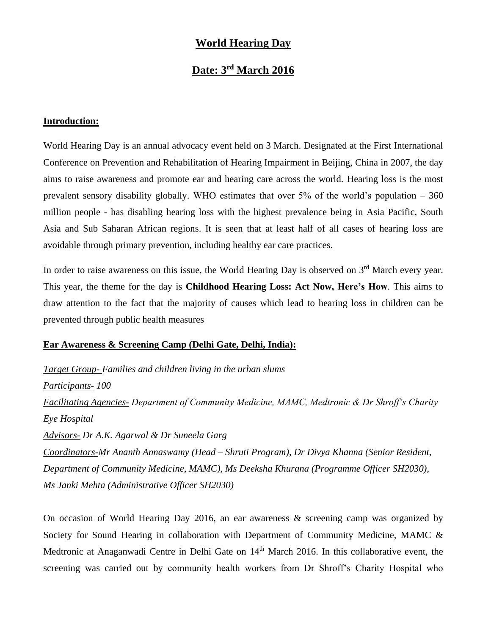## **World Hearing Day**

# **Date: 3rd March 2016**

#### **Introduction:**

World Hearing Day is an annual advocacy event held on 3 March. Designated at the First International Conference on Prevention and Rehabilitation of Hearing Impairment in Beijing, China in 2007, the day aims to raise awareness and promote ear and hearing care across the world. Hearing loss is the most prevalent sensory disability globally. WHO estimates that over  $5\%$  of the world's population  $-360$ million people - has disabling hearing loss with the highest prevalence being in Asia Pacific, South Asia and Sub Saharan African regions. It is seen that at least half of all cases of hearing loss are avoidable through primary prevention, including healthy ear care practices.

In order to raise awareness on this issue, the World Hearing Day is observed on 3<sup>rd</sup> March every year. This year, the theme for the day is **Childhood Hearing Loss: Act Now, Here's How**. This aims to draw attention to the fact that the majority of causes which lead to hearing loss in children can be prevented through public health measures

#### **Ear Awareness & Screening Camp (Delhi Gate, Delhi, India):**

*Target Group- Families and children living in the urban slums Participants- 100 Facilitating Agencies- Department of Community Medicine, MAMC, Medtronic & Dr Shroff's Charity Eye Hospital Advisors- Dr A.K. Agarwal & Dr Suneela Garg Coordinators-Mr Ananth Annaswamy (Head – Shruti Program), Dr Divya Khanna (Senior Resident, Department of Community Medicine, MAMC), Ms Deeksha Khurana (Programme Officer SH2030), Ms Janki Mehta (Administrative Officer SH2030)*

On occasion of World Hearing Day 2016, an ear awareness & screening camp was organized by Society for Sound Hearing in collaboration with Department of Community Medicine, MAMC & Medtronic at Anaganwadi Centre in Delhi Gate on 14<sup>th</sup> March 2016. In this collaborative event, the screening was carried out by community health workers from Dr Shroff's Charity Hospital who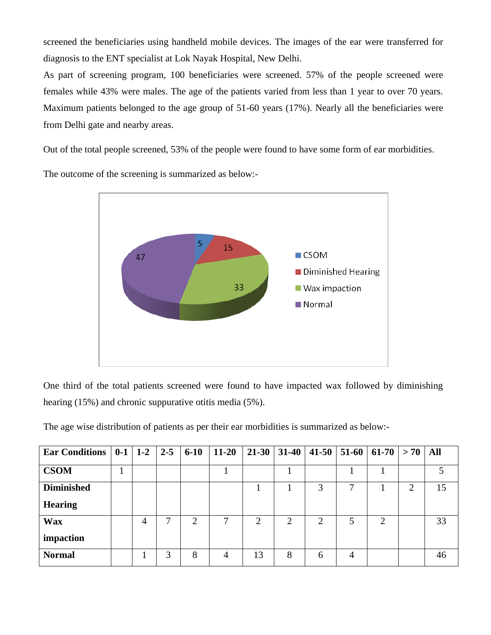screened the beneficiaries using handheld mobile devices. The images of the ear were transferred for diagnosis to the ENT specialist at Lok Nayak Hospital, New Delhi.

As part of screening program, 100 beneficiaries were screened. 57% of the people screened were females while 43% were males. The age of the patients varied from less than 1 year to over 70 years. Maximum patients belonged to the age group of 51-60 years (17%). Nearly all the beneficiaries were from Delhi gate and nearby areas.

Out of the total people screened, 53% of the people were found to have some form of ear morbidities.

The outcome of the screening is summarized as below:-



One third of the total patients screened were found to have impacted wax followed by diminishing hearing (15%) and chronic suppurative otitis media (5%).

The age wise distribution of patients as per their ear morbidities is summarized as below:-

| Ear Conditions   $0-1$   $1-2$   $2-5$   6-10 |   |   |   | $11-20$        |                |   | $21-30$   31-40   41-50     | $51-60$ | $ 61-70 $      | $> 70$   All |    |
|-----------------------------------------------|---|---|---|----------------|----------------|---|-----------------------------|---------|----------------|--------------|----|
| <b>CSOM</b>                                   |   |   |   |                |                |   |                             |         |                |              |    |
| <b>Diminished</b>                             |   |   |   |                |                |   | 3                           |         |                | 2            | 15 |
| <b>Hearing</b>                                |   |   |   |                |                |   |                             |         |                |              |    |
| <b>Wax</b>                                    | 4 | 7 | 2 |                | $\overline{2}$ | 2 | $\mathcal{D}_{\mathcal{L}}$ | 5       | $\mathfrak{2}$ |              | 33 |
| impaction                                     |   |   |   |                |                |   |                             |         |                |              |    |
| <b>Normal</b>                                 |   | 3 | 8 | $\overline{4}$ | 13             | 8 | 6                           | 4       |                |              | 46 |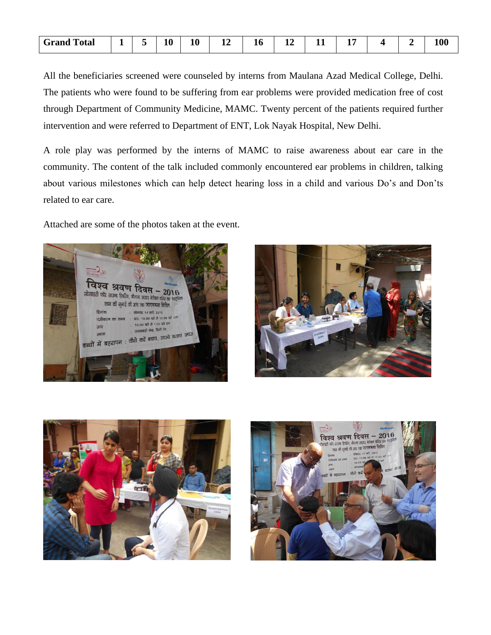| l'otal<br>Grand<br>- - - - | - | 10 | 10 | -<br>≖ | 10<br>the contract of the contract of |  | --<br>$\overline{\phantom{a}}$ |  | 100 |
|----------------------------|---|----|----|--------|---------------------------------------|--|--------------------------------|--|-----|
|                            |   |    |    |        |                                       |  |                                |  |     |

All the beneficiaries screened were counseled by interns from Maulana Azad Medical College, Delhi. The patients who were found to be suffering from ear problems were provided medication free of cost through Department of Community Medicine, MAMC. Twenty percent of the patients required further intervention and were referred to Department of ENT, Lok Nayak Hospital, New Delhi.

A role play was performed by the interns of MAMC to raise awareness about ear care in the community. The content of the talk included commonly encountered ear problems in children, talking about various milestones which can help detect hearing loss in a child and various Do's and Don'ts related to ear care.

Attached are some of the photos taken at the event.







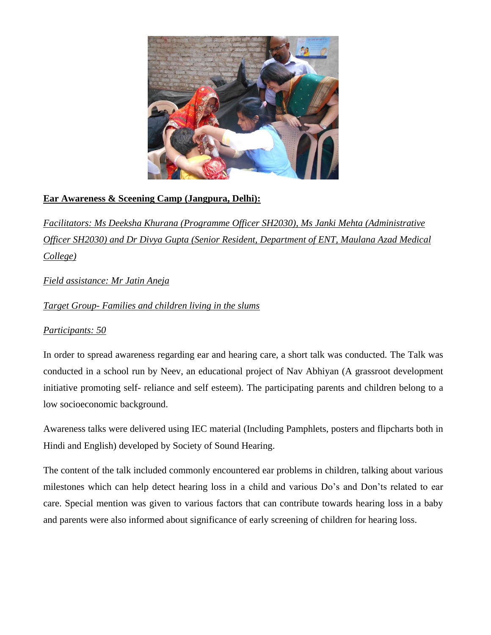

## **Ear Awareness & Sceening Camp (Jangpura, Delhi):**

*Facilitators: Ms Deeksha Khurana (Programme Officer SH2030), Ms Janki Mehta (Administrative Officer SH2030) and Dr Divya Gupta (Senior Resident, Department of ENT, Maulana Azad Medical College)*

*Field assistance: Mr Jatin Aneja*

*Target Group- Families and children living in the slums*

### *Participants: 50*

In order to spread awareness regarding ear and hearing care, a short talk was conducted. The Talk was conducted in a school run by Neev, an educational project of Nav Abhiyan (A grassroot development initiative promoting self- reliance and self esteem). The participating parents and children belong to a low socioeconomic background.

Awareness talks were delivered using IEC material (Including Pamphlets, posters and flipcharts both in Hindi and English) developed by Society of Sound Hearing.

The content of the talk included commonly encountered ear problems in children, talking about various milestones which can help detect hearing loss in a child and various Do's and Don'ts related to ear care. Special mention was given to various factors that can contribute towards hearing loss in a baby and parents were also informed about significance of early screening of children for hearing loss.